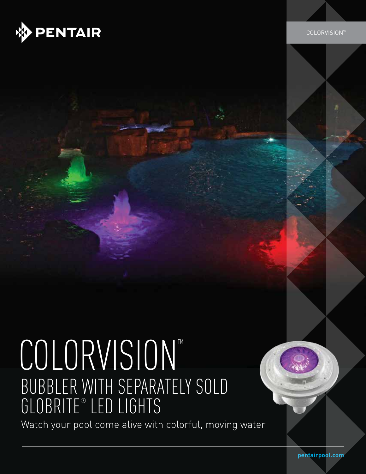

Intelliflo XF Variable Speed Pump

# COLORVISION™ BUBBLER WITH SEPARATELY SOLD GLOBRITE® LED LIGHTS

Watch your pool come alive with colorful, moving water

**pentairpool.com**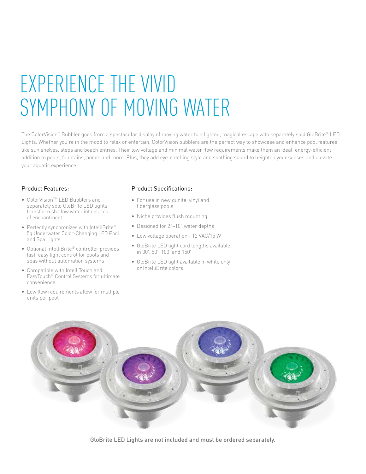## EXPERIENCE THE VIVID SYMPHONY OF MOVING WATER

The ColorVision™ Bubbler goes from a spectacular display of moving water to a lighted, magical escape with separately sold GloBrite® LED Lights. Whether you're in the mood to relax or entertain, ColorVision bubblers are the perfect way to showcase and enhance pool features like sun shelves, steps and beach entries. Their low voltage and minimal water flow requirements make them an ideal, energy-efficient addition to pools, fountains, ponds and more. Plus, they add eye-catching style and soothing sound to heighten your senses and elevate your aquatic experience.

#### Product Features:

- ColorVision<sup>™</sup> LED Bubblers and separately sold GloBrite LED lights transform shallow water into places of enchantment
- Perfectly synchronizes with IntelliBrite® 5g Underwater Color-Changing LED Pool and Spa Lights
- Optional IntelliBrite® controller provides fast, easy light control for pools and spas without automation systems
- Compatible with IntelliTouch and EasyTouch® Control Systems for ultimate convenience
- Low flow requirements allow for multiple units per pool

#### Product Specifications:

- For use in new gunite, vinyl and fiberglass pools
- Niche provides flush mounting
- Designed for 2"–10" water depths
- Low voltage operation—12 VAC/15 W
- GloBrite LED light cord lengths available in 30', 50', 100' and 150'
- GloBrite LED light available in white only or IntelliBrite colors



GloBrite LED Lights are not included and must be ordered separately.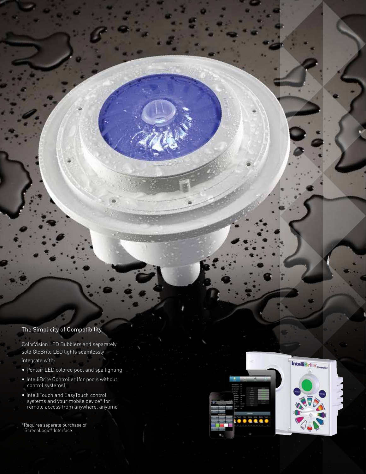#### The Simplicity of Compatibility

ColorVision LED Bubblers and separately sold GloBrite LED lights seamlessly integrate with:

- Pentair LED colored pool and spa lighting
- IntelliBrite Controller (for pools without control systems)
- IntelliTouch and EasyTouch control systems and your mobile device\* for remote access from anywhere, anytime

\*Requires separate purchase of ScreenLogic® Interface.



Intelliflo XF Variable Speed Pump